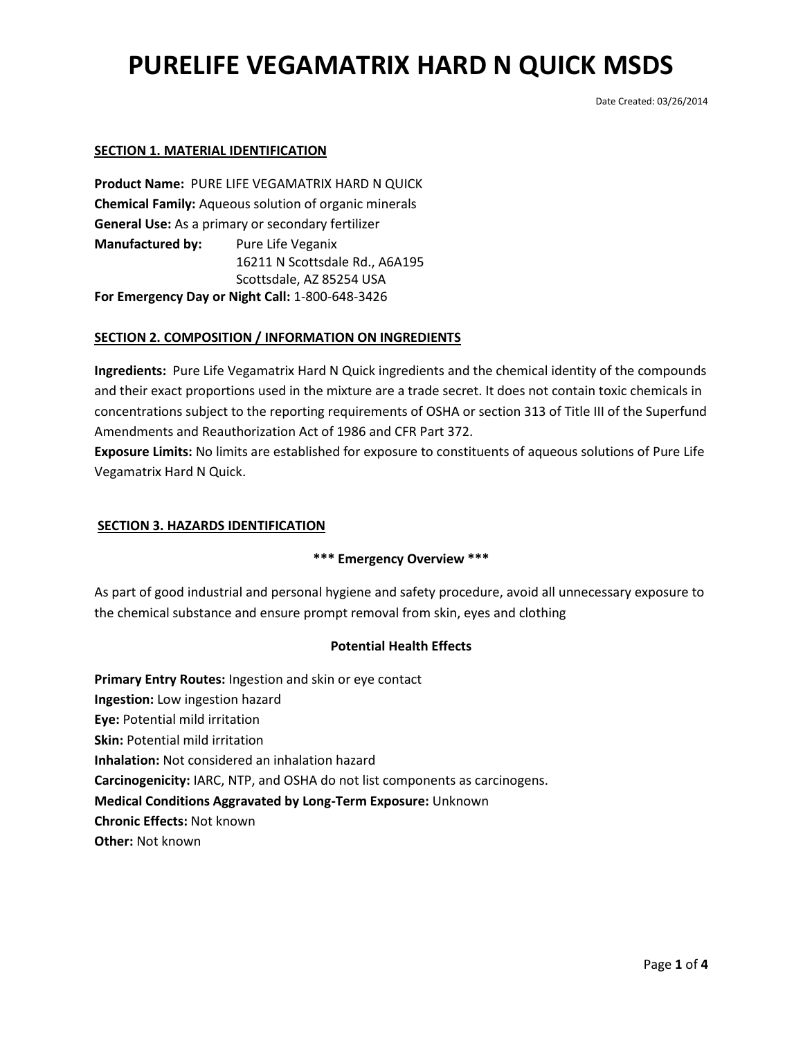Date Created: 03/26/2014

### **SECTION 1. MATERIAL IDENTIFICATION**

**Product Name:** PURE LIFE VEGAMATRIX HARD N QUICK **Chemical Family:** Aqueous solution of organic minerals **General Use:** As a primary or secondary fertilizer **Manufactured by:** Pure Life Veganix 16211 N Scottsdale Rd., A6A195 Scottsdale, AZ 85254 USA **For Emergency Day or Night Call:** 1-800-648-3426

## **SECTION 2. COMPOSITION / INFORMATION ON INGREDIENTS**

**Ingredients:** Pure Life Vegamatrix Hard N Quick ingredients and the chemical identity of the compounds and their exact proportions used in the mixture are a trade secret. It does not contain toxic chemicals in concentrations subject to the reporting requirements of OSHA or section 313 of Title III of the Superfund Amendments and Reauthorization Act of 1986 and CFR Part 372.

**Exposure Limits:** No limits are established for exposure to constituents of aqueous solutions of Pure Life Vegamatrix Hard N Quick.

## **SECTION 3. HAZARDS IDENTIFICATION**

### **\*\*\* Emergency Overview \*\*\***

As part of good industrial and personal hygiene and safety procedure, avoid all unnecessary exposure to the chemical substance and ensure prompt removal from skin, eyes and clothing

### **Potential Health Effects**

**Primary Entry Routes:** Ingestion and skin or eye contact **Ingestion:** Low ingestion hazard **Eye:** Potential mild irritation **Skin:** Potential mild irritation **Inhalation:** Not considered an inhalation hazard **Carcinogenicity:** IARC, NTP, and OSHA do not list components as carcinogens. **Medical Conditions Aggravated by Long-Term Exposure:** Unknown **Chronic Effects:** Not known **Other:** Not known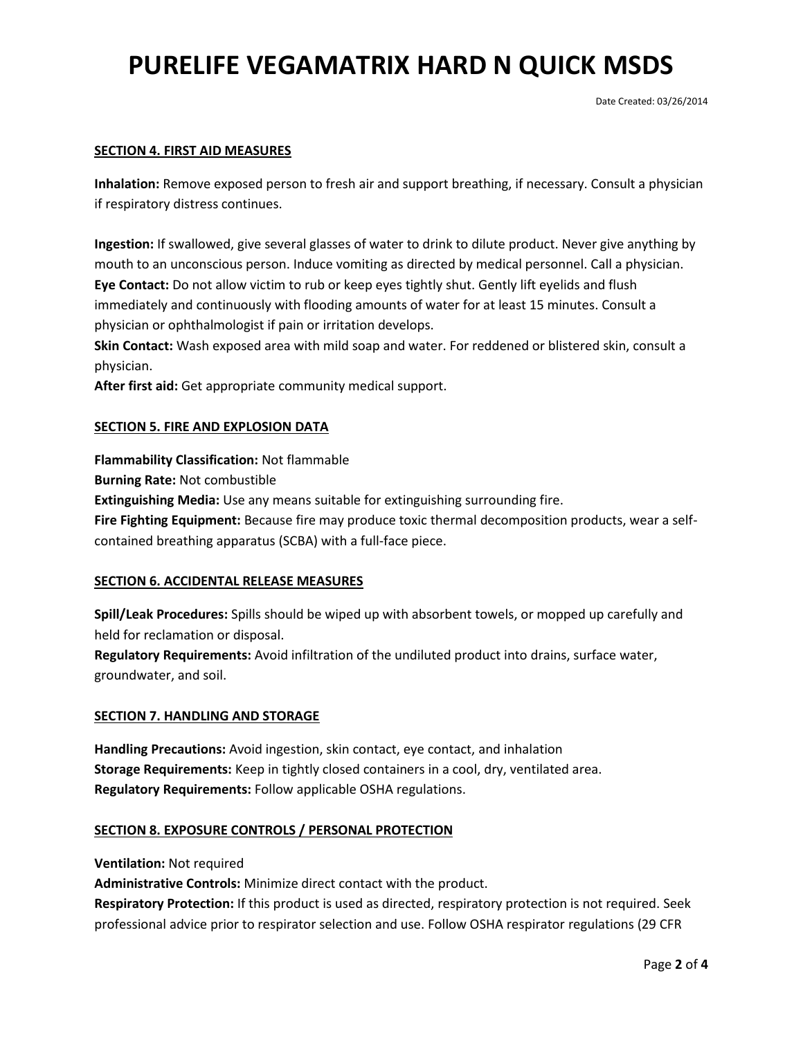### **SECTION 4. FIRST AID MEASURES**

**Inhalation:** Remove exposed person to fresh air and support breathing, if necessary. Consult a physician if respiratory distress continues.

**Ingestion:** If swallowed, give several glasses of water to drink to dilute product. Never give anything by mouth to an unconscious person. Induce vomiting as directed by medical personnel. Call a physician. **Eye Contact:** Do not allow victim to rub or keep eyes tightly shut. Gently lift eyelids and flush immediately and continuously with flooding amounts of water for at least 15 minutes. Consult a physician or ophthalmologist if pain or irritation develops.

**Skin Contact:** Wash exposed area with mild soap and water. For reddened or blistered skin, consult a physician.

**After first aid:** Get appropriate community medical support.

### **SECTION 5. FIRE AND EXPLOSION DATA**

**Flammability Classification:** Not flammable

**Burning Rate:** Not combustible

**Extinguishing Media:** Use any means suitable for extinguishing surrounding fire.

**Fire Fighting Equipment:** Because fire may produce toxic thermal decomposition products, wear a selfcontained breathing apparatus (SCBA) with a full-face piece.

#### **SECTION 6. ACCIDENTAL RELEASE MEASURES**

**Spill/Leak Procedures:** Spills should be wiped up with absorbent towels, or mopped up carefully and held for reclamation or disposal.

**Regulatory Requirements:** Avoid infiltration of the undiluted product into drains, surface water, groundwater, and soil.

#### **SECTION 7. HANDLING AND STORAGE**

**Handling Precautions:** Avoid ingestion, skin contact, eye contact, and inhalation **Storage Requirements:** Keep in tightly closed containers in a cool, dry, ventilated area. **Regulatory Requirements:** Follow applicable OSHA regulations.

#### **SECTION 8. EXPOSURE CONTROLS / PERSONAL PROTECTION**

**Ventilation:** Not required

**Administrative Controls:** Minimize direct contact with the product.

**Respiratory Protection:** If this product is used as directed, respiratory protection is not required. Seek professional advice prior to respirator selection and use. Follow OSHA respirator regulations (29 CFR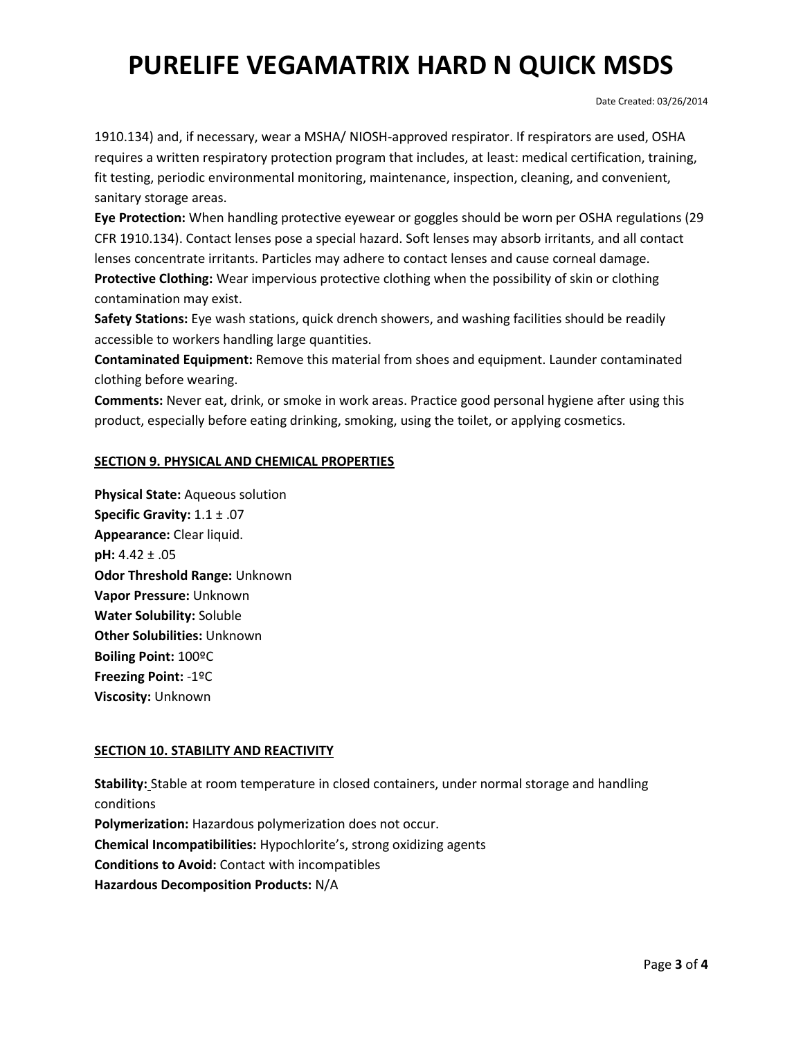Date Created: 03/26/2014

1910.134) and, if necessary, wear a MSHA/ NIOSH-approved respirator. If respirators are used, OSHA requires a written respiratory protection program that includes, at least: medical certification, training, fit testing, periodic environmental monitoring, maintenance, inspection, cleaning, and convenient, sanitary storage areas.

**Eye Protection:** When handling protective eyewear or goggles should be worn per OSHA regulations (29 CFR 1910.134). Contact lenses pose a special hazard. Soft lenses may absorb irritants, and all contact lenses concentrate irritants. Particles may adhere to contact lenses and cause corneal damage. **Protective Clothing:** Wear impervious protective clothing when the possibility of skin or clothing contamination may exist.

**Safety Stations:** Eye wash stations, quick drench showers, and washing facilities should be readily accessible to workers handling large quantities.

**Contaminated Equipment:** Remove this material from shoes and equipment. Launder contaminated clothing before wearing.

**Comments:** Never eat, drink, or smoke in work areas. Practice good personal hygiene after using this product, especially before eating drinking, smoking, using the toilet, or applying cosmetics.

## **SECTION 9. PHYSICAL AND CHEMICAL PROPERTIES**

**Physical State:** Aqueous solution **Specific Gravity:** 1.1 ± .07 **Appearance:** Clear liquid. **pH:** 4.42 ± .05 **Odor Threshold Range:** Unknown **Vapor Pressure:** Unknown **Water Solubility:** Soluble **Other Solubilities:** Unknown **Boiling Point:** 100ºC **Freezing Point:** -1ºC **Viscosity:** Unknown

## **SECTION 10. STABILITY AND REACTIVITY**

**Stability:** Stable at room temperature in closed containers, under normal storage and handling conditions **Polymerization:** Hazardous polymerization does not occur. **Chemical Incompatibilities:** Hypochlorite's, strong oxidizing agents **Conditions to Avoid:** Contact with incompatibles **Hazardous Decomposition Products:** N/A